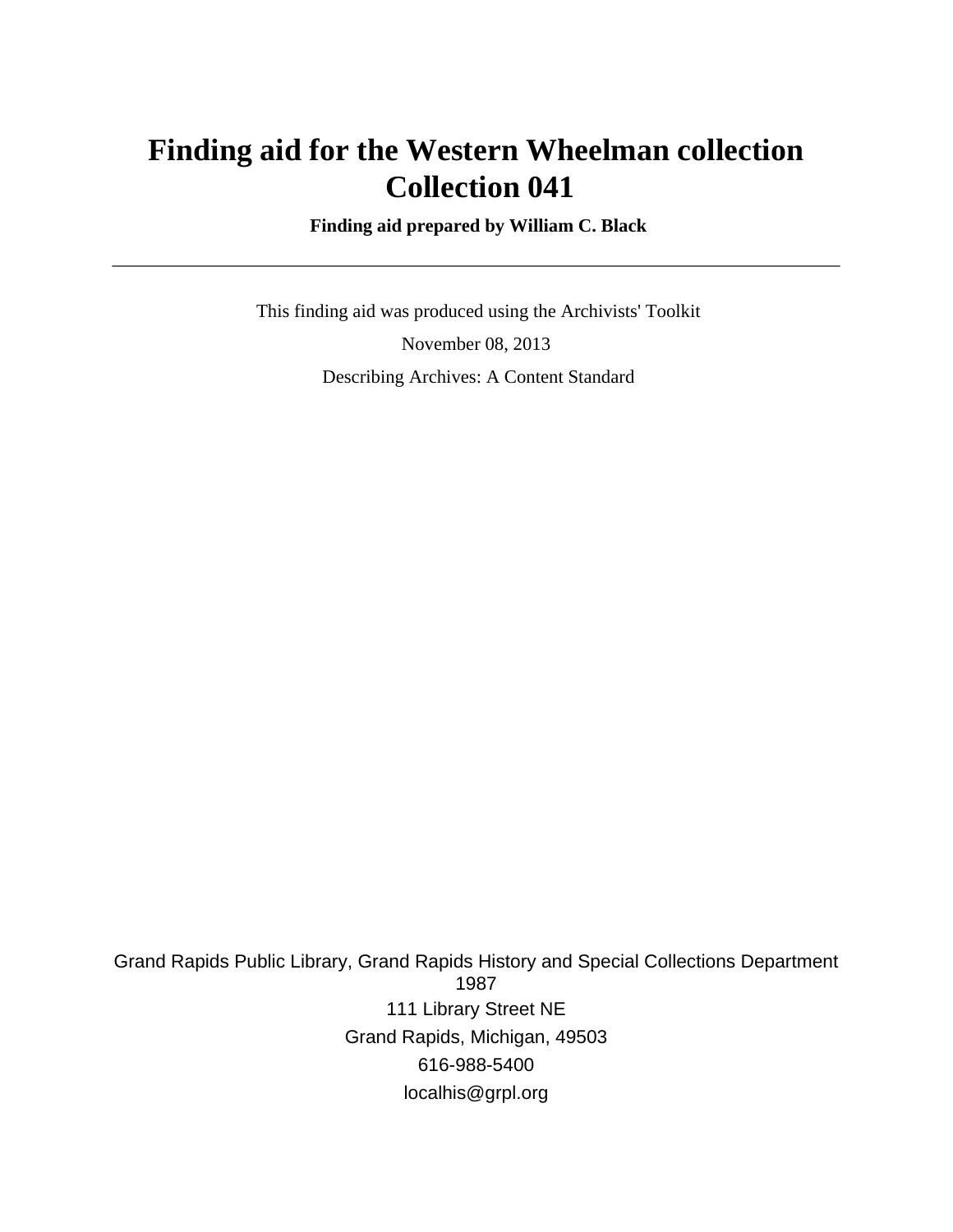# **Finding aid for the Western Wheelman collection Collection 041**

 **Finding aid prepared by William C. Black**

 This finding aid was produced using the Archivists' Toolkit November 08, 2013 Describing Archives: A Content Standard

Grand Rapids Public Library, Grand Rapids History and Special Collections Department 1987 111 Library Street NE Grand Rapids, Michigan, 49503 616-988-5400 localhis@grpl.org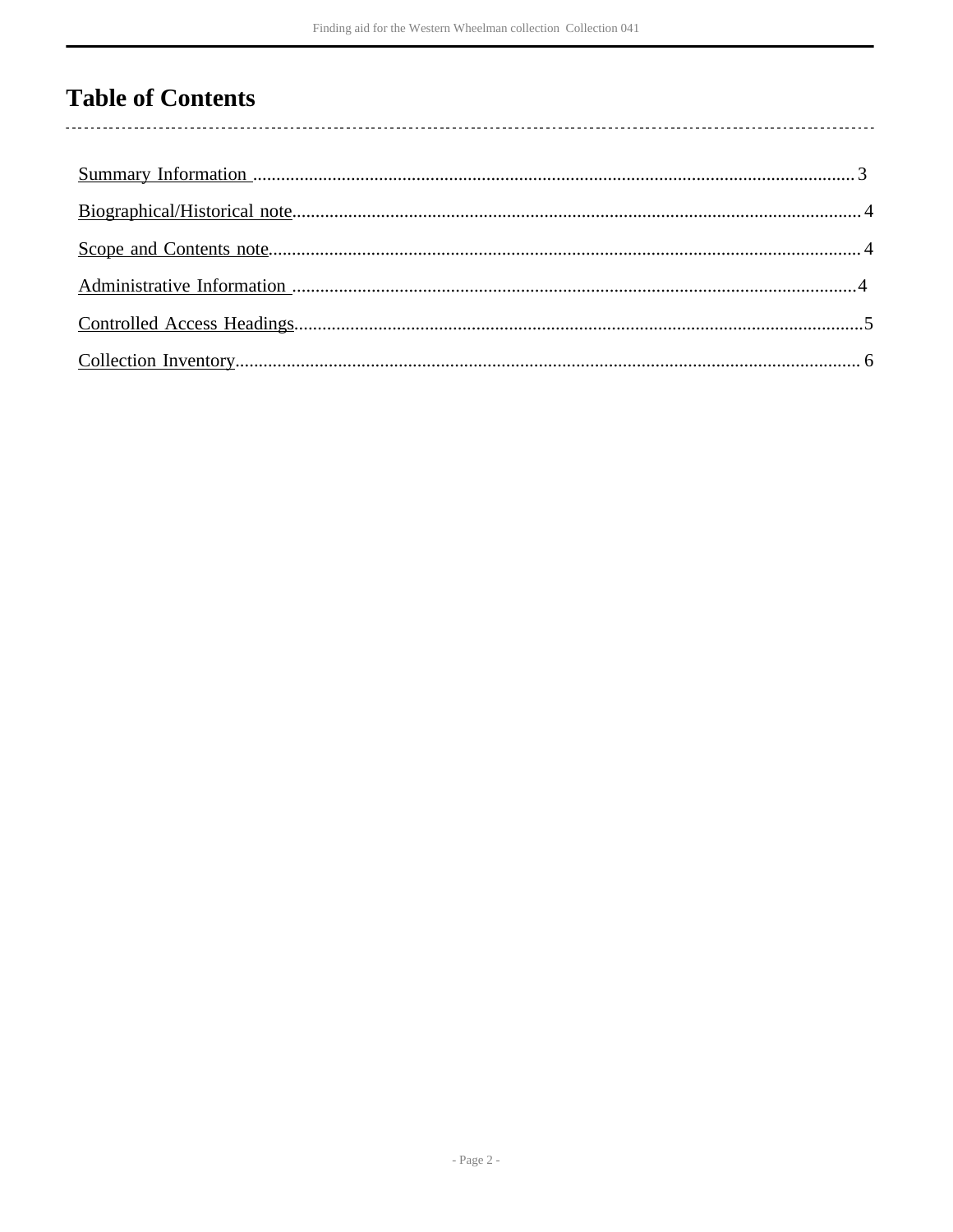# **Table of Contents**

 $\overline{\phantom{a}}$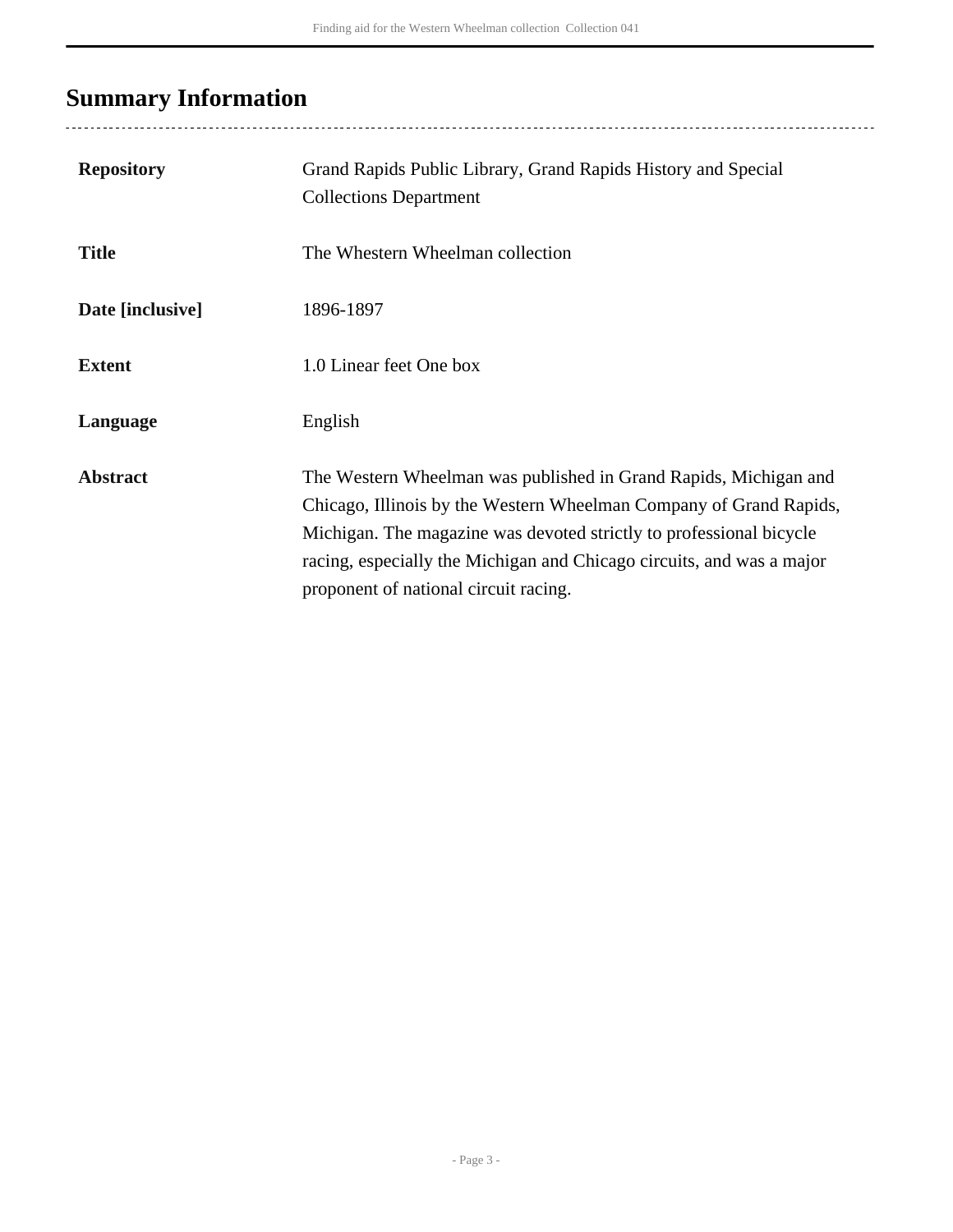# <span id="page-2-0"></span>**Summary Information**

| <b>Repository</b> | Grand Rapids Public Library, Grand Rapids History and Special<br><b>Collections Department</b>                                                                                                                                                                                                                                  |
|-------------------|---------------------------------------------------------------------------------------------------------------------------------------------------------------------------------------------------------------------------------------------------------------------------------------------------------------------------------|
| <b>Title</b>      | The Whestern Wheelman collection                                                                                                                                                                                                                                                                                                |
| Date [inclusive]  | 1896-1897                                                                                                                                                                                                                                                                                                                       |
| <b>Extent</b>     | 1.0 Linear feet One box                                                                                                                                                                                                                                                                                                         |
| Language          | English                                                                                                                                                                                                                                                                                                                         |
| <b>Abstract</b>   | The Western Wheelman was published in Grand Rapids, Michigan and<br>Chicago, Illinois by the Western Wheelman Company of Grand Rapids,<br>Michigan. The magazine was devoted strictly to professional bicycle<br>racing, especially the Michigan and Chicago circuits, and was a major<br>proponent of national circuit racing. |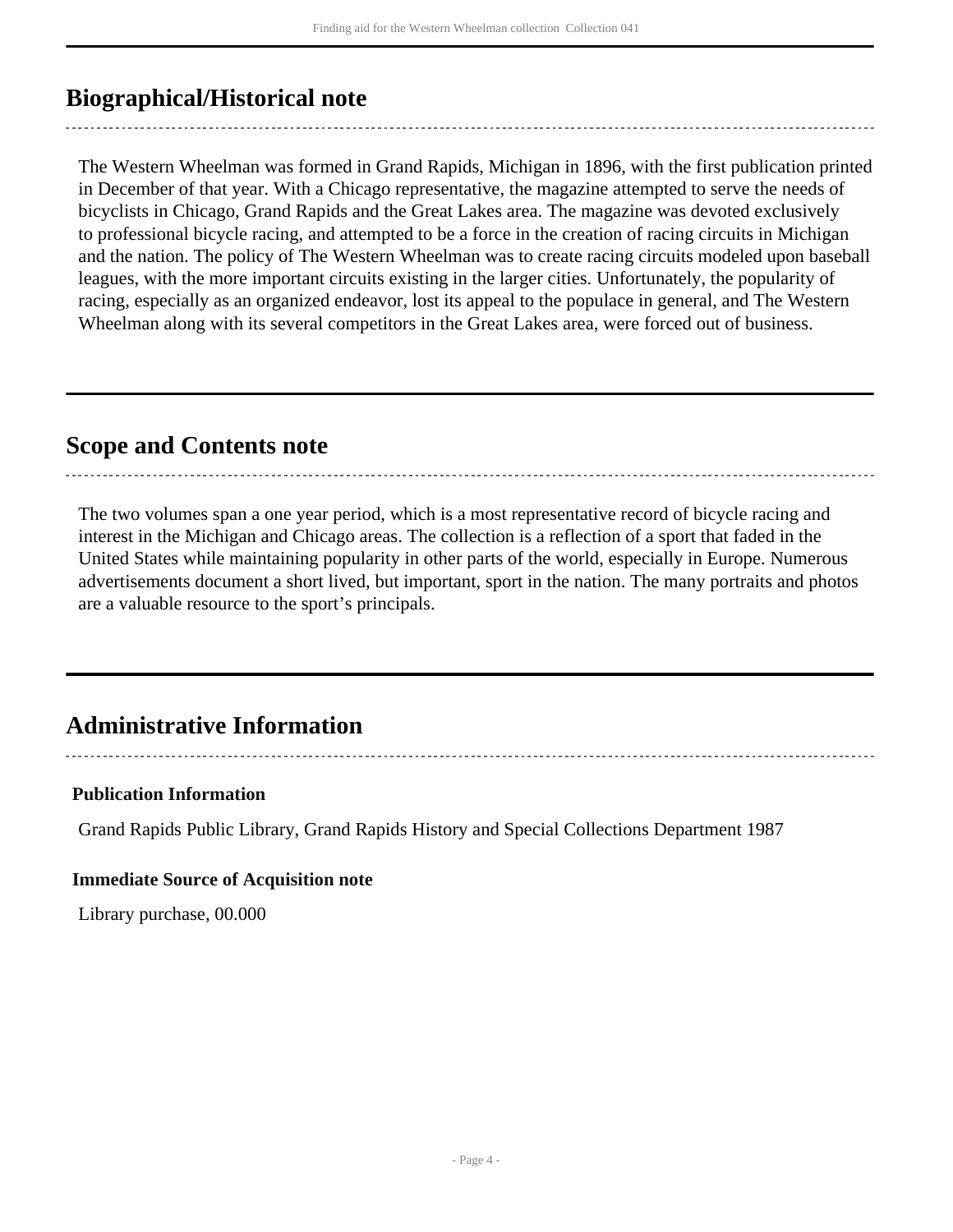## <span id="page-3-0"></span>**Biographical/Historical note**

The Western Wheelman was formed in Grand Rapids, Michigan in 1896, with the first publication printed in December of that year. With a Chicago representative, the magazine attempted to serve the needs of bicyclists in Chicago, Grand Rapids and the Great Lakes area. The magazine was devoted exclusively to professional bicycle racing, and attempted to be a force in the creation of racing circuits in Michigan and the nation. The policy of The Western Wheelman was to create racing circuits modeled upon baseball leagues, with the more important circuits existing in the larger cities. Unfortunately, the popularity of racing, especially as an organized endeavor, lost its appeal to the populace in general, and The Western Wheelman along with its several competitors in the Great Lakes area, were forced out of business.

### <span id="page-3-1"></span>**Scope and Contents note**

The two volumes span a one year period, which is a most representative record of bicycle racing and interest in the Michigan and Chicago areas. The collection is a reflection of a sport that faded in the United States while maintaining popularity in other parts of the world, especially in Europe. Numerous advertisements document a short lived, but important, sport in the nation. The many portraits and photos are a valuable resource to the sport's principals.

-------------------------

## <span id="page-3-2"></span>**Administrative Information**

#### **Publication Information**

Grand Rapids Public Library, Grand Rapids History and Special Collections Department 1987

#### **Immediate Source of Acquisition note**

Library purchase, 00.000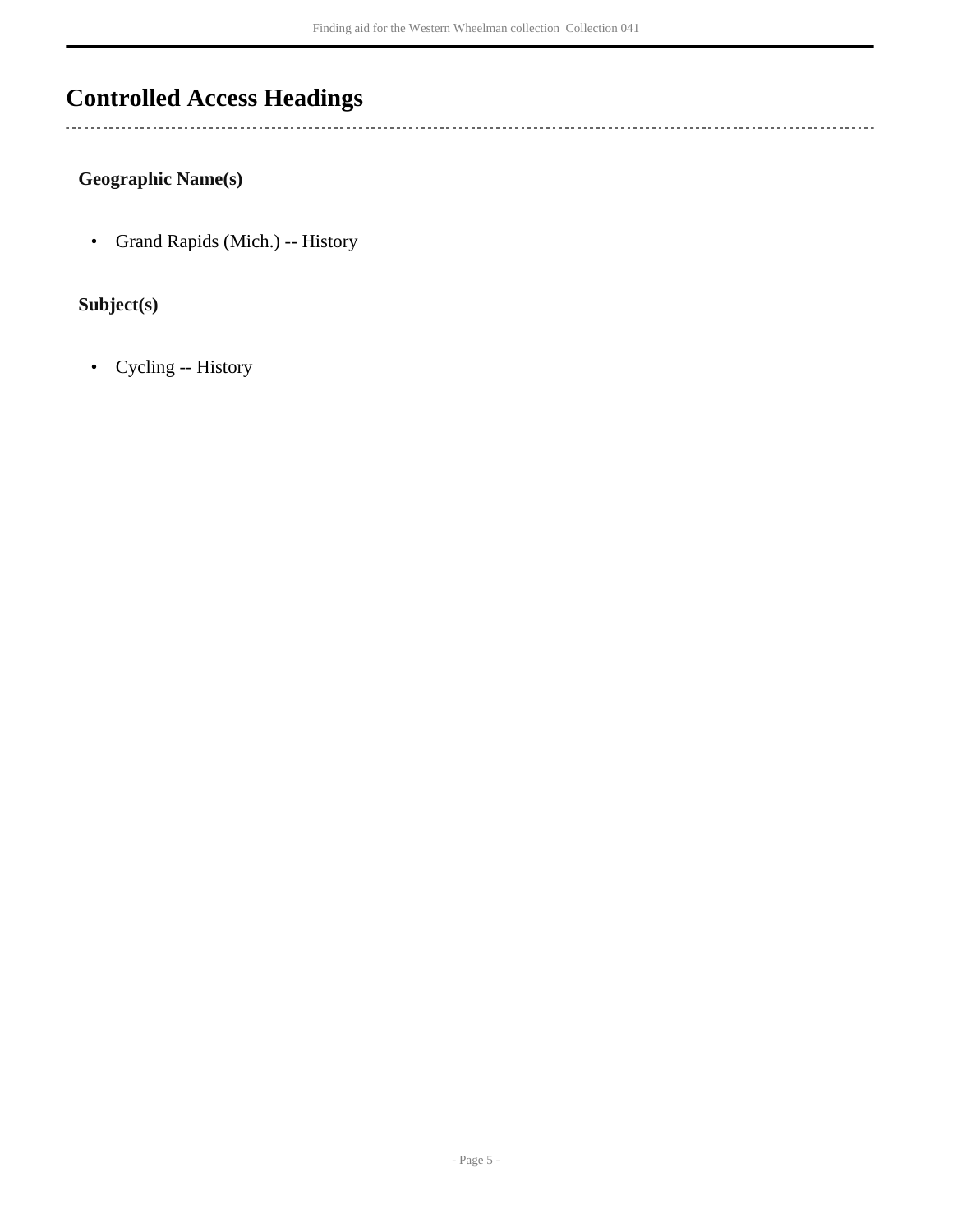## <span id="page-4-0"></span>**Controlled Access Headings**

 $\ddotsc$ 

#### **Geographic Name(s)**

• Grand Rapids (Mich.) -- History

#### **Subject(s)**

• Cycling -- History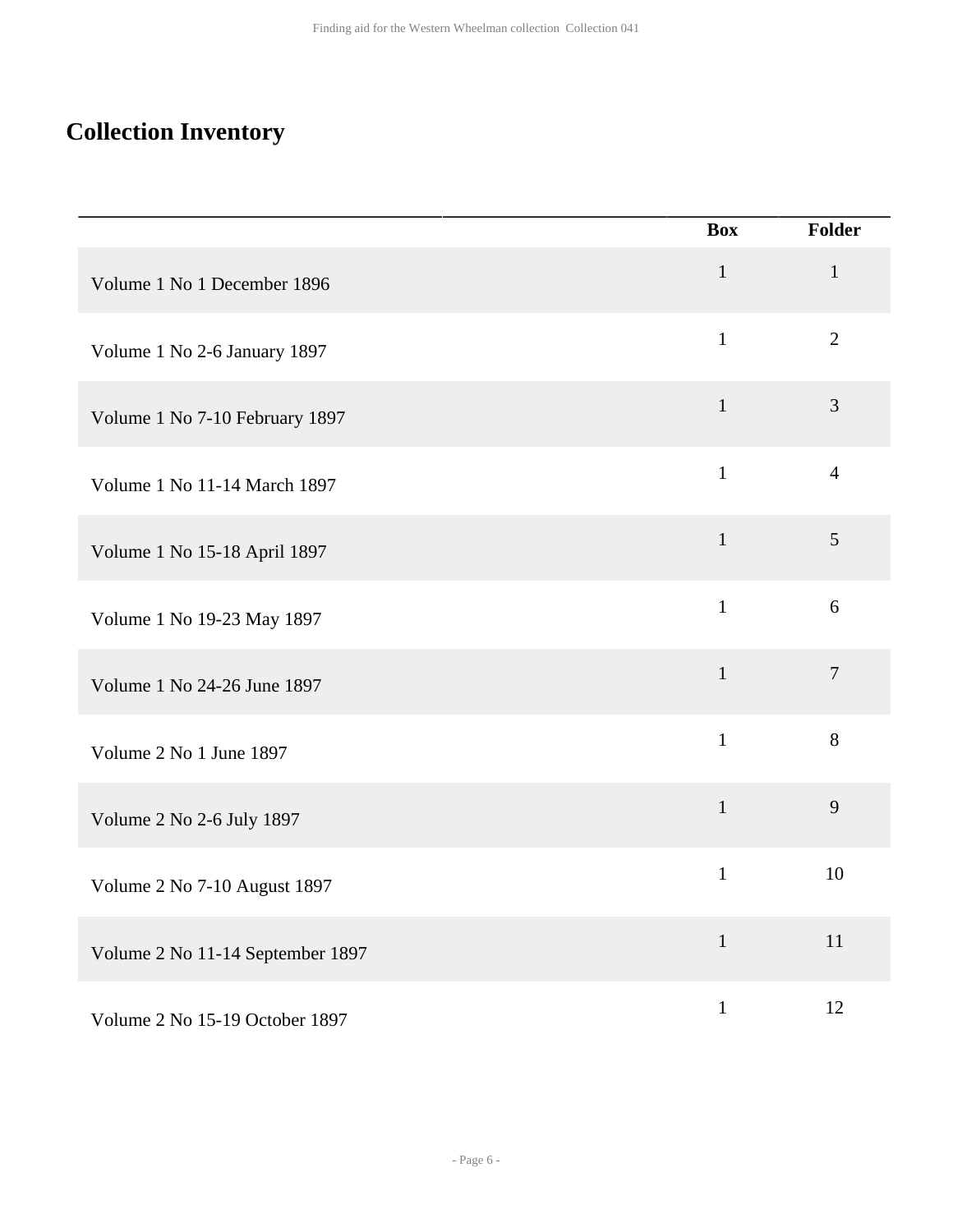# <span id="page-5-0"></span>**Collection Inventory**

|                                  | <b>Box</b>   | <b>Folder</b>  |
|----------------------------------|--------------|----------------|
| Volume 1 No 1 December 1896      | $\mathbf{1}$ | $\mathbf{1}$   |
| Volume 1 No 2-6 January 1897     | $\mathbf{1}$ | $\overline{2}$ |
| Volume 1 No 7-10 February 1897   | $\mathbf{1}$ | $\overline{3}$ |
| Volume 1 No 11-14 March 1897     | $\mathbf{1}$ | $\overline{4}$ |
| Volume 1 No 15-18 April 1897     | $\mathbf{1}$ | 5              |
| Volume 1 No 19-23 May 1897       | $\mathbf{1}$ | 6              |
| Volume 1 No 24-26 June 1897      | $\mathbf{1}$ | $\overline{7}$ |
| Volume 2 No 1 June 1897          | $\mathbf{1}$ | 8              |
| Volume 2 No 2-6 July 1897        | $\mathbf{1}$ | 9              |
| Volume 2 No 7-10 August 1897     | $\mathbf{1}$ | 10             |
| Volume 2 No 11-14 September 1897 | $\mathbf{1}$ | 11             |
| Volume 2 No 15-19 October 1897   | $\mathbf{1}$ | 12             |